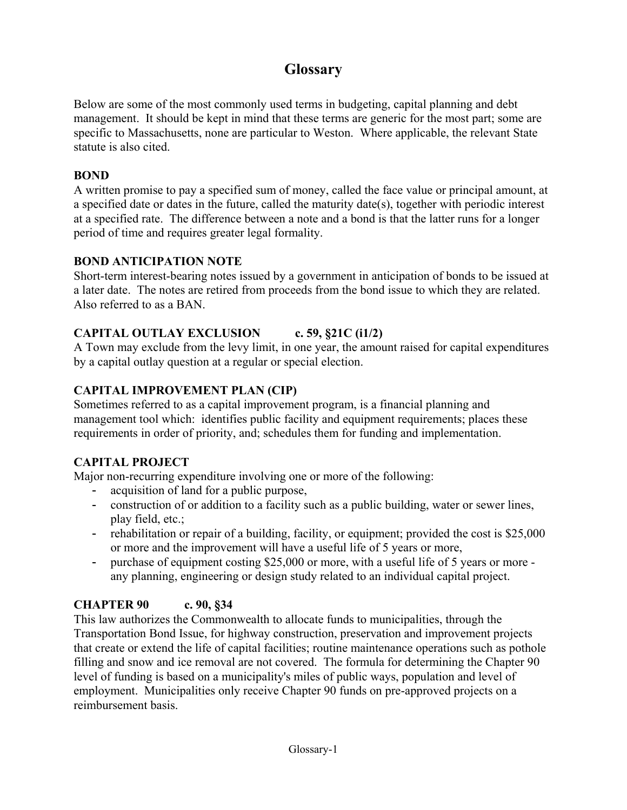# **Glossary**

Below are some of the most commonly used terms in budgeting, capital planning and debt management. It should be kept in mind that these terms are generic for the most part; some are specific to Massachusetts, none are particular to Weston. Where applicable, the relevant State statute is also cited.

#### **BOND**

A written promise to pay a specified sum of money, called the face value or principal amount, at a specified date or dates in the future, called the maturity date(s), together with periodic interest at a specified rate. The difference between a note and a bond is that the latter runs for a longer period of time and requires greater legal formality.

### **BOND ANTICIPATION NOTE**

Short-term interest-bearing notes issued by a government in anticipation of bonds to be issued at a later date. The notes are retired from proceeds from the bond issue to which they are related. Also referred to as a BAN.

# **CAPITAL OUTLAY EXCLUSION c. 59, §21C (i1/2)**

A Town may exclude from the levy limit, in one year, the amount raised for capital expenditures by a capital outlay question at a regular or special election.

# **CAPITAL IMPROVEMENT PLAN (CIP)**

Sometimes referred to as a capital improvement program, is a financial planning and management tool which: identifies public facility and equipment requirements; places these requirements in order of priority, and; schedules them for funding and implementation.

# **CAPITAL PROJECT**

Major non-recurring expenditure involving one or more of the following:

- acquisition of land for a public purpose,
- construction of or addition to a facility such as a public building, water or sewer lines, play field, etc.;
- rehabilitation or repair of a building, facility, or equipment; provided the cost is \$25,000 or more and the improvement will have a useful life of 5 years or more,
- purchase of equipment costing \$25,000 or more, with a useful life of 5 years or more any planning, engineering or design study related to an individual capital project.

# **CHAPTER 90 c. 90, §34**

This law authorizes the Commonwealth to allocate funds to municipalities, through the Transportation Bond Issue, for highway construction, preservation and improvement projects that create or extend the life of capital facilities; routine maintenance operations such as pothole filling and snow and ice removal are not covered. The formula for determining the Chapter 90 level of funding is based on a municipality's miles of public ways, population and level of employment. Municipalities only receive Chapter 90 funds on pre-approved projects on a reimbursement basis.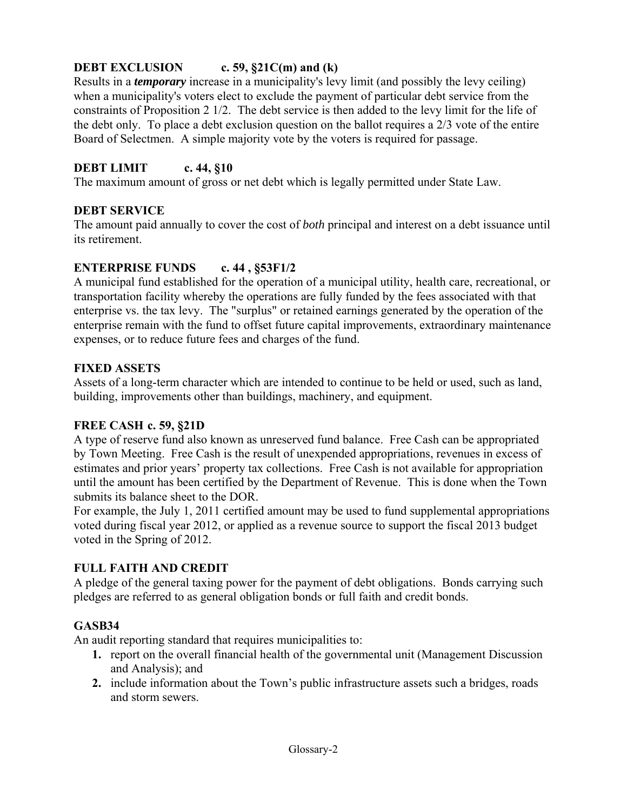# **DEBT EXCLUSION c. 59, §21C(m) and (k)**

Results in a *temporary* increase in a municipality's levy limit (and possibly the levy ceiling) when a municipality's voters elect to exclude the payment of particular debt service from the constraints of Proposition 2 1/2. The debt service is then added to the levy limit for the life of the debt only. To place a debt exclusion question on the ballot requires a 2/3 vote of the entire Board of Selectmen. A simple majority vote by the voters is required for passage.

# **DEBT LIMIT c. 44, §10**

The maximum amount of gross or net debt which is legally permitted under State Law.

#### **DEBT SERVICE**

The amount paid annually to cover the cost of *both* principal and interest on a debt issuance until its retirement.

#### **ENTERPRISE FUNDS c. 44 , §53F1/2**

A municipal fund established for the operation of a municipal utility, health care, recreational, or transportation facility whereby the operations are fully funded by the fees associated with that enterprise vs. the tax levy. The "surplus" or retained earnings generated by the operation of the enterprise remain with the fund to offset future capital improvements, extraordinary maintenance expenses, or to reduce future fees and charges of the fund.

#### **FIXED ASSETS**

Assets of a long-term character which are intended to continue to be held or used, such as land, building, improvements other than buildings, machinery, and equipment.

#### **FREE CASH c. 59, §21D**

A type of reserve fund also known as unreserved fund balance. Free Cash can be appropriated by Town Meeting. Free Cash is the result of unexpended appropriations, revenues in excess of estimates and prior years' property tax collections. Free Cash is not available for appropriation until the amount has been certified by the Department of Revenue. This is done when the Town submits its balance sheet to the DOR.

For example, the July 1, 2011 certified amount may be used to fund supplemental appropriations voted during fiscal year 2012, or applied as a revenue source to support the fiscal 2013 budget voted in the Spring of 2012.

#### **FULL FAITH AND CREDIT**

A pledge of the general taxing power for the payment of debt obligations. Bonds carrying such pledges are referred to as general obligation bonds or full faith and credit bonds.

#### **GASB34**

An audit reporting standard that requires municipalities to:

- **1.** report on the overall financial health of the governmental unit (Management Discussion and Analysis); and
- **2.** include information about the Town's public infrastructure assets such a bridges, roads and storm sewers.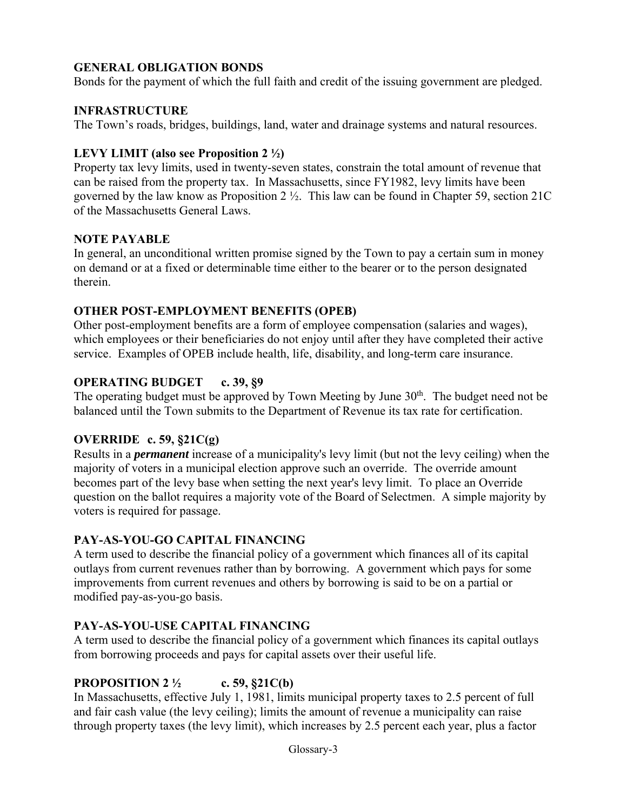# **GENERAL OBLIGATION BONDS**

Bonds for the payment of which the full faith and credit of the issuing government are pledged.

### **INFRASTRUCTURE**

The Town's roads, bridges, buildings, land, water and drainage systems and natural resources.

#### **LEVY LIMIT (also see Proposition 2 ½)**

Property tax levy limits, used in twenty-seven states, constrain the total amount of revenue that can be raised from the property tax. In Massachusetts, since FY1982, levy limits have been governed by the law know as Proposition 2 ½. This law can be found in Chapter 59, section 21C of the Massachusetts General Laws.

#### **NOTE PAYABLE**

In general, an unconditional written promise signed by the Town to pay a certain sum in money on demand or at a fixed or determinable time either to the bearer or to the person designated therein.

#### **OTHER POST-EMPLOYMENT BENEFITS (OPEB)**

Other post-employment benefits are a form of employee compensation (salaries and wages), which employees or their beneficiaries do not enjoy until after they have completed their active service. Examples of OPEB include health, life, disability, and long-term care insurance.

### **OPERATING BUDGET c. 39, §9**

The operating budget must be approved by Town Meeting by June 30<sup>th</sup>. The budget need not be balanced until the Town submits to the Department of Revenue its tax rate for certification.

# **OVERRIDE c. 59, §21C(g)**

Results in a *permanent* increase of a municipality's levy limit (but not the levy ceiling) when the majority of voters in a municipal election approve such an override. The override amount becomes part of the levy base when setting the next year's levy limit. To place an Override question on the ballot requires a majority vote of the Board of Selectmen. A simple majority by voters is required for passage.

# **PAY-AS-YOU-GO CAPITAL FINANCING**

A term used to describe the financial policy of a government which finances all of its capital outlays from current revenues rather than by borrowing. A government which pays for some improvements from current revenues and others by borrowing is said to be on a partial or modified pay-as-you-go basis.

# **PAY-AS-YOU-USE CAPITAL FINANCING**

A term used to describe the financial policy of a government which finances its capital outlays from borrowing proceeds and pays for capital assets over their useful life.

# **PROPOSITION 2 ½ c. 59, §21C(b)**

In Massachusetts, effective July 1, 1981, limits municipal property taxes to 2.5 percent of full and fair cash value (the levy ceiling); limits the amount of revenue a municipality can raise through property taxes (the levy limit), which increases by 2.5 percent each year, plus a factor